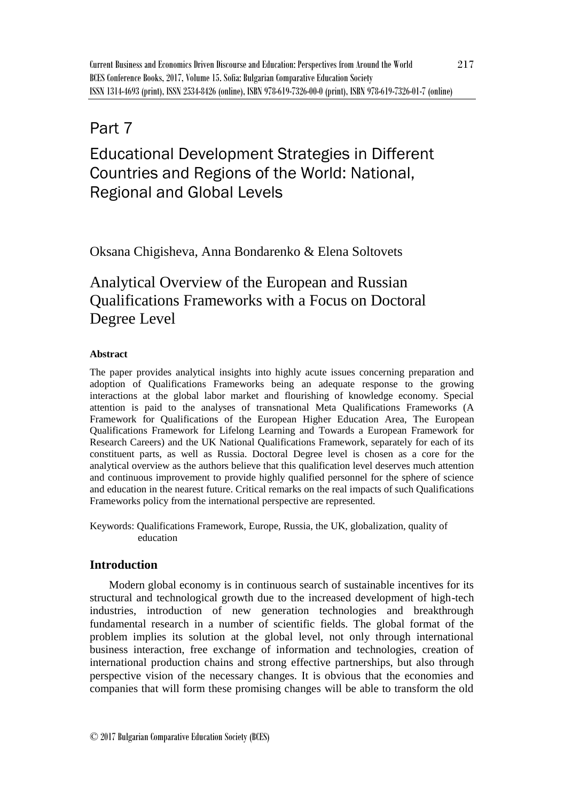# Part 7

# Educational Development Strategies in Different Countries and Regions of the World: National, Regional and Global Levels

Oksana Chigisheva, Anna Bondarenko & Elena Soltovets

# Analytical Overview of the European and Russian Qualifications Frameworks with a Focus on Doctoral Degree Level

# **Abstract**

The paper provides analytical insights into highly acute issues concerning preparation and adoption of Qualifications Frameworks being an adequate response to the growing interactions at the global labor market and flourishing of knowledge economy. Special attention is paid to the analyses of transnational Meta Qualifications Frameworks (A Framework for Qualifications of the European Higher Education Area, The European Qualifications Framework for Lifelong Learning and Towards a European Framework for Research Careers) and the UK National Qualifications Framework, separately for each of its constituent parts, as well as Russia. Doctoral Degree level is chosen as a core for the analytical overview as the authors believe that this qualification level deserves much attention and continuous improvement to provide highly qualified personnel for the sphere of science and education in the nearest future. Critical remarks on the real impacts of such Qualifications Frameworks policy from the international perspective are represented.

Keywords: Qualifications Framework, Europe, Russia, the UK, globalization, quality of education

# **Introduction**

Modern global economy is in continuous search of sustainable incentives for its structural and technological growth due to the increased development of high-tech industries, introduction of new generation technologies and breakthrough fundamental research in a number of scientific fields. The global format of the problem implies its solution at the global level, not only through international business interaction, free exchange of information and technologies, creation of international production chains and strong effective partnerships, but also through perspective vision of the necessary changes. It is obvious that the economies and companies that will form these promising changes will be able to transform the old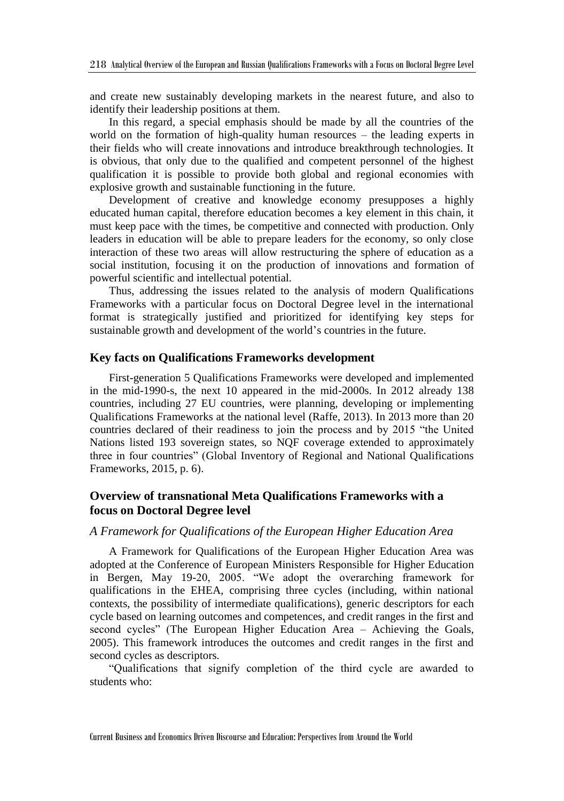and create new sustainably developing markets in the nearest future, and also to identify their leadership positions at them.

In this regard, a special emphasis should be made by all the countries of the world on the formation of high-quality human resources – the leading experts in their fields who will create innovations and introduce breakthrough technologies. It is obvious, that only due to the qualified and competent personnel of the highest qualification it is possible to provide both global and regional economies with explosive growth and sustainable functioning in the future.

Development of creative and knowledge economy presupposes a highly educated human capital, therefore education becomes a key element in this chain, it must keep pace with the times, be competitive and connected with production. Only leaders in education will be able to prepare leaders for the economy, so only close interaction of these two areas will allow restructuring the sphere of education as a social institution, focusing it on the production of innovations and formation of powerful scientific and intellectual potential.

Thus, addressing the issues related to the analysis of modern Qualifications Frameworks with a particular focus on Doctoral Degree level in the international format is strategically justified and prioritized for identifying key steps for sustainable growth and development of the world's countries in the future.

#### **Key facts on Qualifications Frameworks development**

First-generation 5 Qualifications Frameworks were developed and implemented in the mid-1990-s, the next 10 appeared in the mid-2000s. In 2012 already 138 countries, including 27 EU countries, were planning, developing or implementing Qualifications Frameworks at the national level (Raffe, 2013). In 2013 more than 20 countries declared of their readiness to join the process and by 2015 "the United Nations listed 193 sovereign states, so NQF coverage extended to approximately three in four countries" (Global Inventory of Regional and National Qualifications Frameworks, 2015, p. 6).

# **Overview of transnational Meta Qualifications Frameworks with a focus on Doctoral Degree level**

#### *A Framework for Qualifications of the European Higher Education Area*

A Framework for Qualifications of the European Higher Education Area was adopted at the Conference of European Ministers Responsible for Higher Education in Bergen, May 19-20, 2005. "We adopt the overarching framework for qualifications in the EHEA, comprising three cycles (including, within national contexts, the possibility of intermediate qualifications), generic descriptors for each cycle based on learning outcomes and competences, and credit ranges in the first and second cycles" (The European Higher Education Area – Achieving the Goals, 2005). This framework introduces the outcomes and credit ranges in the first and second cycles as descriptors.

"Qualifications that signify completion of the third cycle are awarded to students who: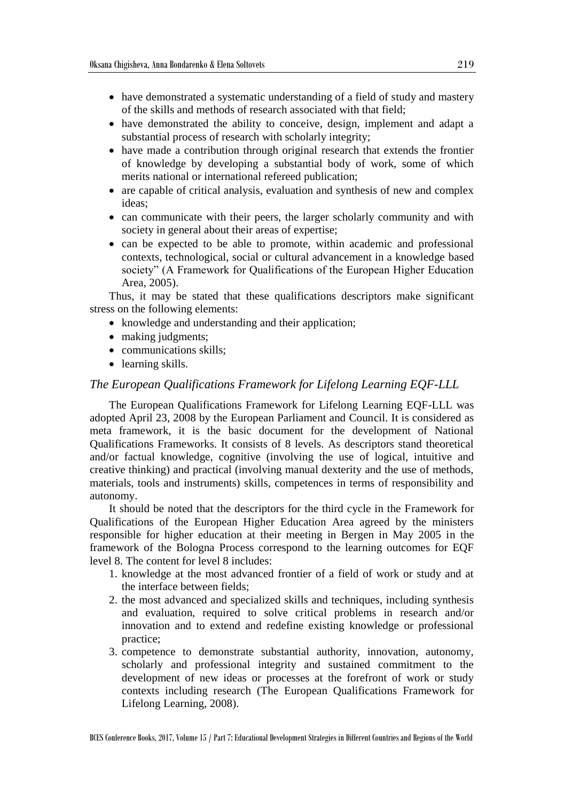- have demonstrated a systematic understanding of a field of study and mastery of the skills and methods of research associated with that field;
- have demonstrated the ability to conceive, design, implement and adapt a substantial process of research with scholarly integrity;
- have made a contribution through original research that extends the frontier of knowledge by developing a substantial body of work, some of which merits national or international refereed publication;
- are capable of critical analysis, evaluation and synthesis of new and complex ideas;
- can communicate with their peers, the larger scholarly community and with society in general about their areas of expertise;
- can be expected to be able to promote, within academic and professional contexts, technological, social or cultural advancement in a knowledge based society" (A Framework for Qualifications of the European Higher Education Area, 2005).

Thus, it may be stated that these qualifications descriptors make significant stress on the following elements:

- knowledge and understanding and their application;
- making judgments;
- communications skills;
- learning skills.

### *The European Qualifications Framework for Lifelong Learning EQF-LLL*

The European Qualifications Framework for Lifelong Learning EQF-LLL was adopted April 23, 2008 by the European Parliament and Council. It is considered as meta framework, it is the basic document for the development of National Qualifications Frameworks. It consists of 8 levels. As descriptors stand theoretical and/or factual knowledge, cognitive (involving the use of logical, intuitive and creative thinking) and practical (involving manual dexterity and the use of methods, materials, tools and instruments) skills, competences in terms of responsibility and autonomy.

It should be noted that the descriptors for the third cycle in the Framework for Qualifications of the European Higher Education Area agreed by the ministers responsible for higher education at their meeting in Bergen in May 2005 in the framework of the Bologna Process correspond to the learning outcomes for EQF level 8. The content for level 8 includes:

- 1. knowledge at the most advanced frontier of a field of work or study and at the interface between fields;
- 2. the most advanced and specialized skills and techniques, including synthesis and evaluation, required to solve critical problems in research and/or innovation and to extend and redefine existing knowledge or professional practice;
- 3. competence to demonstrate substantial authority, innovation, autonomy, scholarly and professional integrity and sustained commitment to the development of new ideas or processes at the forefront of work or study contexts including research (The European Qualifications Framework for Lifelong Learning, 2008).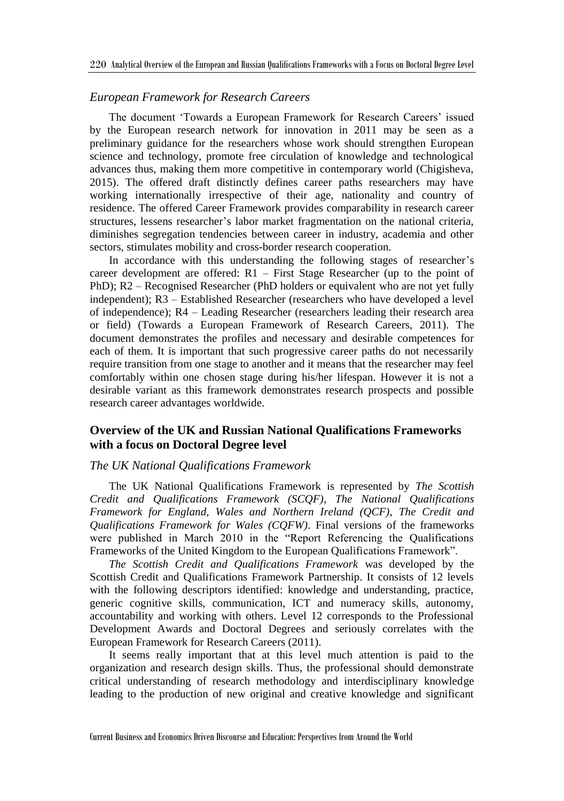#### *European Framework for Research Careers*

The document 'Towards a European Framework for Research Careers' issued by the European research network for innovation in 2011 may be seen as a preliminary guidance for the researchers whose work should strengthen European science and technology, promote free circulation of knowledge and technological advances thus, making them more competitive in contemporary world (Chigisheva, 2015). The offered draft distinctly defines career paths researchers may have working internationally irrespective of their age, nationality and country of residence. The offered Career Framework provides comparability in research career structures, lessens researcher's labor market fragmentation on the national criteria, diminishes segregation tendencies between career in industry, academia and other sectors, stimulates mobility and cross-border research cooperation.

In accordance with this understanding the following stages of researcher's career development are offered: R1 – First Stage Researcher (up to the point of PhD); R2 – Recognised Researcher (PhD holders or equivalent who are not yet fully independent); R3 – Established Researcher (researchers who have developed a level of independence); R4 – Leading Researcher (researchers leading their research area or field) (Towards a European Framework of Research Careers, 2011). The document demonstrates the profiles and necessary and desirable competences for each of them. It is important that such progressive career paths do not necessarily require transition from one stage to another and it means that the researcher may feel comfortably within one chosen stage during his/her lifespan. However it is not a desirable variant as this framework demonstrates research prospects and possible research career advantages worldwide.

# **Overview of the UK and Russian National Qualifications Frameworks with a focus on Doctoral Degree level**

#### *The UK National Qualifications Framework*

The UK National Qualifications Framework is represented by *The Scottish Credit and Qualifications Framework (SCQF)*, *The National Qualifications Framework for England, Wales and Northern Ireland (QCF)*, *The Credit and Qualifications Framework for Wales (CQFW)*. Final versions of the frameworks were published in March 2010 in the "Report Referencing the Qualifications Frameworks of the United Kingdom to the European Qualifications Framework".

*The Scottish Credit and Qualifications Framework* was developed by the Scottish Credit and Qualifications Framework Partnership. It consists of 12 levels with the following descriptors identified: knowledge and understanding, practice, generic cognitive skills, communication, ICT and numeracy skills, autonomy, accountability and working with others. Level 12 corresponds to the Professional Development Awards and Doctoral Degrees and seriously correlates with the European Framework for Research Careers (2011).

It seems really important that at this level much attention is paid to the organization and research design skills. Thus, the professional should demonstrate critical understanding of research methodology and interdisciplinary knowledge leading to the production of new original and creative knowledge and significant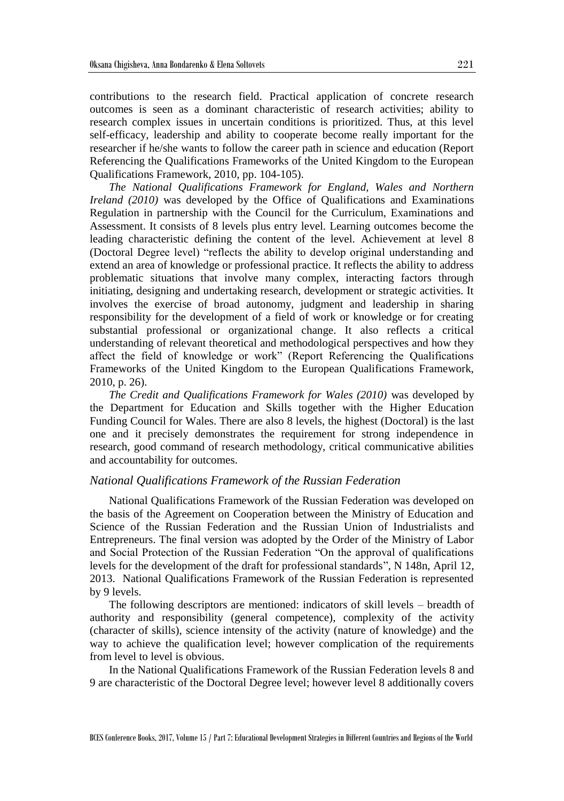contributions to the research field. Practical application of concrete research outcomes is seen as a dominant characteristic of research activities; ability to research complex issues in uncertain conditions is prioritized. Thus, at this level self-efficacy, leadership and ability to cooperate become really important for the researcher if he/she wants to follow the career path in science and education (Report Referencing the Qualifications Frameworks of the United Kingdom to the European Qualifications Framework, 2010, pp. 104-105).

*The National Qualifications Framework for England, Wales and Northern Ireland (2010)* was developed by the Office of Qualifications and Examinations Regulation in partnership with the Council for the Curriculum, Examinations and Assessment. It consists of 8 levels plus entry level. Learning outcomes become the leading characteristic defining the content of the level. Achievement at level 8 (Doctoral Degree level) "reflects the ability to develop original understanding and extend an area of knowledge or professional practice. It reflects the ability to address problematic situations that involve many complex, interacting factors through initiating, designing and undertaking research, development or strategic activities. It involves the exercise of broad autonomy, judgment and leadership in sharing responsibility for the development of a field of work or knowledge or for creating substantial professional or organizational change. It also reflects a critical understanding of relevant theoretical and methodological perspectives and how they affect the field of knowledge or work" (Report Referencing the Qualifications Frameworks of the United Kingdom to the European Qualifications Framework, 2010, p. 26).

*The Credit and Qualifications Framework for Wales (2010)* was developed by the Department for Education and Skills together with the Higher Education Funding Council for Wales. There are also 8 levels, the highest (Doctoral) is the last one and it precisely demonstrates the requirement for strong independence in research, good command of research methodology, critical communicative abilities and accountability for outcomes.

## *National Qualifications Framework of the Russian Federation*

National Qualifications Framework of the Russian Federation was developed on the basis of the Agreement on Cooperation between the Ministry of Education and Science of the Russian Federation and the Russian Union of Industrialists and Entrepreneurs. The final version was adopted by the Order of the Ministry of Labor and Social Protection of the Russian Federation "On the approval of qualifications levels for the development of the draft for professional standards", N 148n, April 12, 2013. National Qualifications Framework of the Russian Federation is represented by 9 levels.

The following descriptors are mentioned: indicators of skill levels – breadth of authority and responsibility (general competence), complexity of the activity (character of skills), science intensity of the activity (nature of knowledge) and the way to achieve the qualification level; however complication of the requirements from level to level is obvious.

In the National Qualifications Framework of the Russian Federation levels 8 and 9 are characteristic of the Doctoral Degree level; however level 8 additionally covers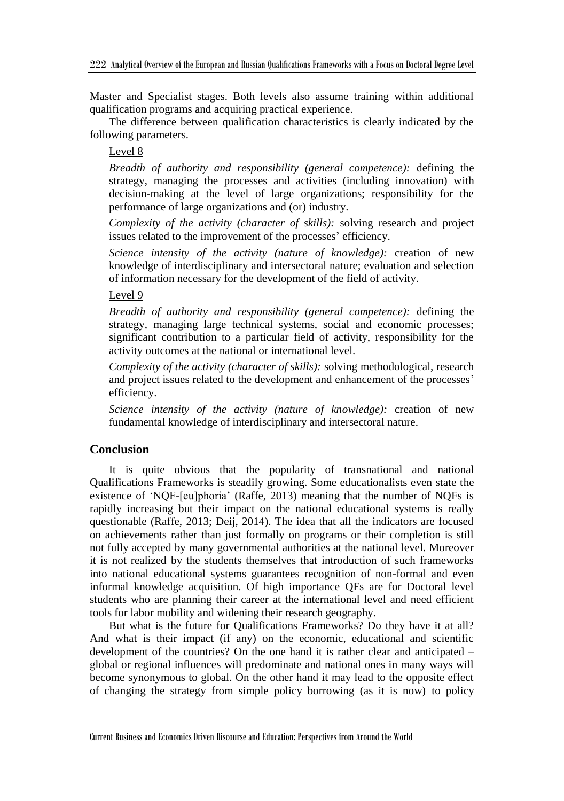Master and Specialist stages. Both levels also assume training within additional qualification programs and acquiring practical experience.

The difference between qualification characteristics is clearly indicated by the following parameters.

## Level 8

*Breadth of authority and responsibility (general competence):* defining the strategy, managing the processes and activities (including innovation) with decision-making at the level of large organizations; responsibility for the performance of large organizations and (or) industry.

*Complexity of the activity (character of skills):* solving research and project issues related to the improvement of the processes' efficiency.

*Science intensity of the activity (nature of knowledge):* creation of new knowledge of interdisciplinary and intersectoral nature; evaluation and selection of information necessary for the development of the field of activity.

#### Level 9

*Breadth of authority and responsibility (general competence):* defining the strategy, managing large technical systems, social and economic processes; significant contribution to a particular field of activity, responsibility for the activity outcomes at the national or international level.

*Complexity of the activity (character of skills):* solving methodological, research and project issues related to the development and enhancement of the processes' efficiency.

*Science intensity of the activity (nature of knowledge):* creation of new fundamental knowledge of interdisciplinary and intersectoral nature.

## **Conclusion**

It is quite obvious that the popularity of transnational and national Qualifications Frameworks is steadily growing. Some educationalists even state the existence of 'NQF-[eu]phoria' (Raffe, 2013) meaning that the number of NQFs is rapidly increasing but their impact on the national educational systems is really questionable (Raffe, 2013; Deij, 2014). The idea that all the indicators are focused on achievements rather than just formally on programs or their completion is still not fully accepted by many governmental authorities at the national level. Moreover it is not realized by the students themselves that introduction of such frameworks into national educational systems guarantees recognition of non-formal and even informal knowledge acquisition. Of high importance QFs are for Doctoral level students who are planning their career at the international level and need efficient tools for labor mobility and widening their research geography.

But what is the future for Qualifications Frameworks? Do they have it at all? And what is their impact (if any) on the economic, educational and scientific development of the countries? On the one hand it is rather clear and anticipated – global or regional influences will predominate and national ones in many ways will become synonymous to global. On the other hand it may lead to the opposite effect of changing the strategy from simple policy borrowing (as it is now) to policy